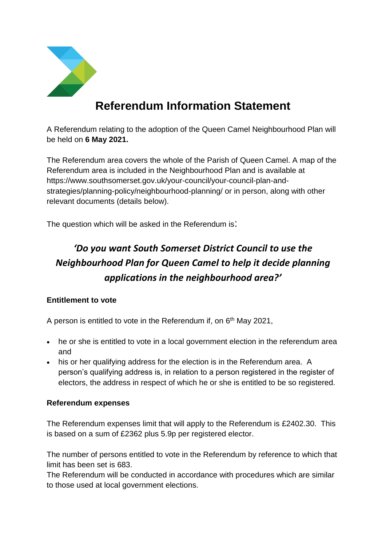

# **Referendum Information Statement**

A Referendum relating to the adoption of the Queen Camel Neighbourhood Plan will be held on **6 May 2021.**

The Referendum area covers the whole of the Parish of Queen Camel. A map of the Referendum area is included in the Neighbourhood Plan and is available at https://www.southsomerset.gov.uk/your-council/your-council-plan-andstrategies/planning-policy/neighbourhood-planning/ or in person, along with other relevant documents (details below).

The question which will be asked in the Referendum is:

## *'Do you want South Somerset District Council to use the Neighbourhood Plan for Queen Camel to help it decide planning applications in the neighbourhood area?'*

### **Entitlement to vote**

A person is entitled to vote in the Referendum if, on  $6<sup>th</sup>$  May 2021,

- he or she is entitled to vote in a local government election in the referendum area and
- his or her qualifying address for the election is in the Referendum area. A person's qualifying address is, in relation to a person registered in the register of electors, the address in respect of which he or she is entitled to be so registered.

#### **Referendum expenses**

The Referendum expenses limit that will apply to the Referendum is £2402.30. This is based on a sum of £2362 plus 5.9p per registered elector.

The number of persons entitled to vote in the Referendum by reference to which that limit has been set is 683.

The Referendum will be conducted in accordance with procedures which are similar to those used at local government elections.